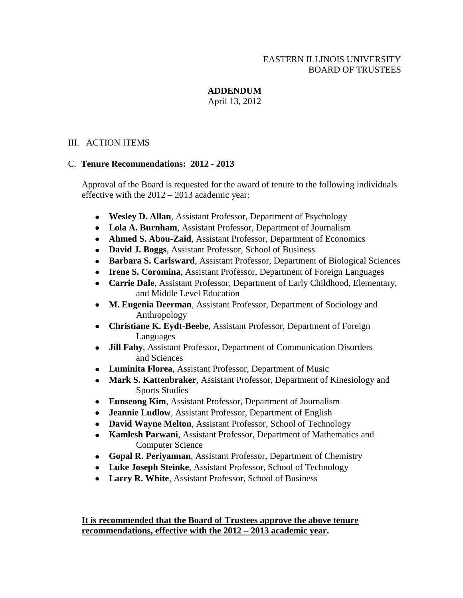# EASTERN ILLINOIS UNIVERSITY BOARD OF TRUSTEES

# **ADDENDUM**

April 13, 2012

## III. ACTION ITEMS

## C. **Tenure Recommendations: 2012 - 2013**

Approval of the Board is requested for the award of tenure to the following individuals effective with the 2012 – 2013 academic year:

- **Wesley D. Allan**, Assistant Professor, Department of Psychology
- **Lola A. Burnham**, Assistant Professor, Department of Journalism
- **Ahmed S. Abou-Zaid**, Assistant Professor, Department of Economics
- **David J. Boggs**, Assistant Professor, School of Business
- **Barbara S. Carlsward**, Assistant Professor, Department of Biological Sciences
- **Irene S. Coromina**, Assistant Professor, Department of Foreign Languages
- **Carrie Dale**, Assistant Professor, Department of Early Childhood, Elementary, and Middle Level Education
- **M. Eugenia Deerman**, Assistant Professor, Department of Sociology and Anthropology
- **Christiane K. Eydt-Beebe**, Assistant Professor, Department of Foreign Languages
- $\bullet$ **Jill Fahy**, Assistant Professor, Department of Communication Disorders and Sciences
- **Luminita Florea**, Assistant Professor, Department of Music
- **Mark S. Kattenbraker**, Assistant Professor, Department of Kinesiology and Sports Studies
- **Eunseong Kim**, Assistant Professor, Department of Journalism
- **Jeannie Ludlow**, Assistant Professor, Department of English
- **David Wayne Melton**, Assistant Professor, School of Technology
- **Kamlesh Parwani**, Assistant Professor, Department of Mathematics and Computer Science
- **Gopal R. Periyannan**, Assistant Professor, Department of Chemistry
- **Luke Joseph Steinke**, Assistant Professor, School of Technology
- **Larry R. White**, Assistant Professor, School of Business

## **It is recommended that the Board of Trustees approve the above tenure recommendations, effective with the 2012 – 2013 academic year.**